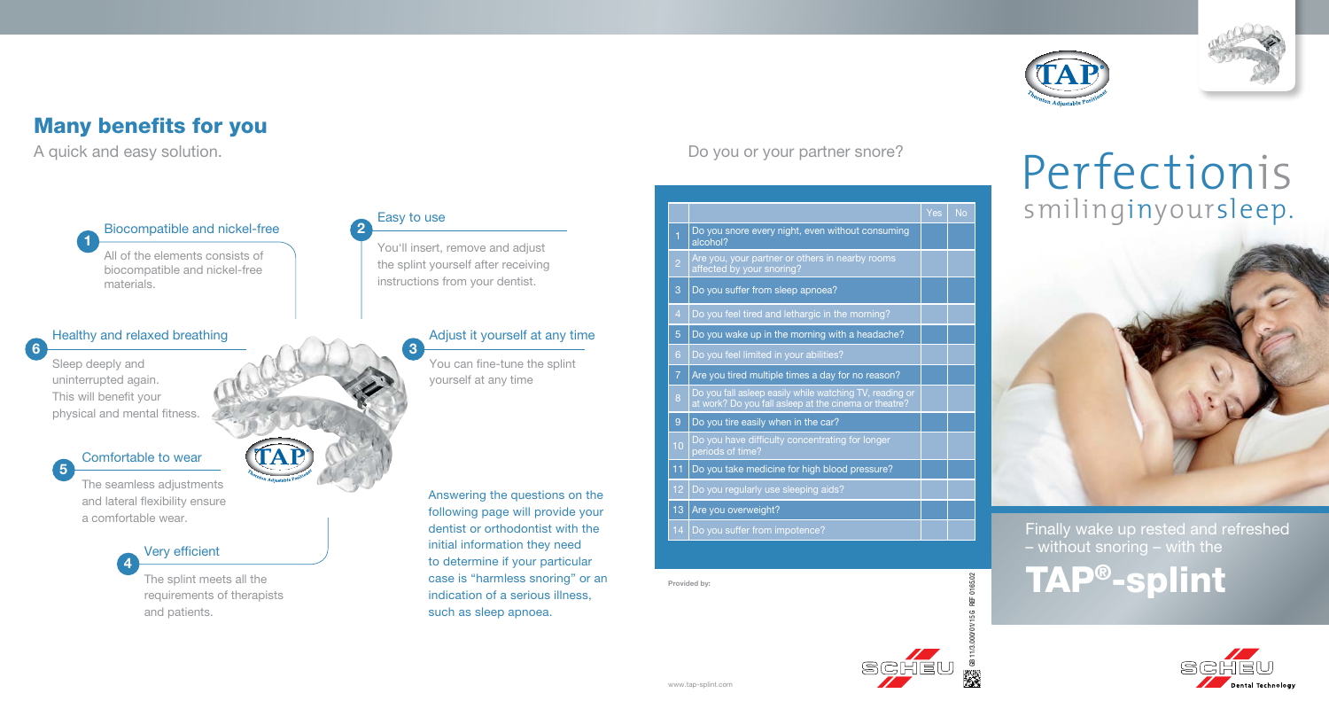

## Many benefits for you

A quick and easy solution.

Biocompatible and nickel-free

All of the elements consists of biocompatible and nickel-free materials.

### Healthy and relaxed breathing

Sleep deeply and uninterrupted again. This will benefit your physical and mental fitness.

1

6

5



The seamless adjustments and lateral flexibility ensure a comfortable wear.

> Very efficient 4

> > The splint meets all the requirements of therapists and patients.



2

3

You'll insert, remove and adjust the splint yourself after receiving instructions from your dentist.

### Adjust it yourself at any time

You can fine-tune the splint yourself at any time

Answering the questions on the following page will provide your dentist or orthodontist with the initial information they need to determine if your particular case is "harmless snoring" or an indication of a serious illness, such as sleep apnoea.

Yes | No Do you snore every night, even without consuming alcohol?  $2 \int$  Are you, your partner or others in nearby rooms at factual by your snoring? 3 Do you suffer from sleep apnoea?  $\vert$  Do you feel tired and lethargic in the morning? 5 Do you wake up in the morning with a headache? Do you feel limited in your abilities? Are you tired multiple times a day for no reason?  $8 \int$  Do you fall asleep easily while watching TV, reading or at work? Do you fall asleep at the cinema or theatre? 9 Do you tire easily when in the car? **10 Do you have difficulty concentrating for longer** 11 Do you take medicine for high blood pressure? 12 Do you regularly use sleeping aids?

Do you or your partner snore?

13 Are you overweight?

14 Do you suffer from impotence?

Provided by:

# Finally wake up rested and refreshed – without snoring – with the TAP®-splint





GB 11/3.000/01/15 G REF 0165.02

# Perfectionis smilinginyoursleep.